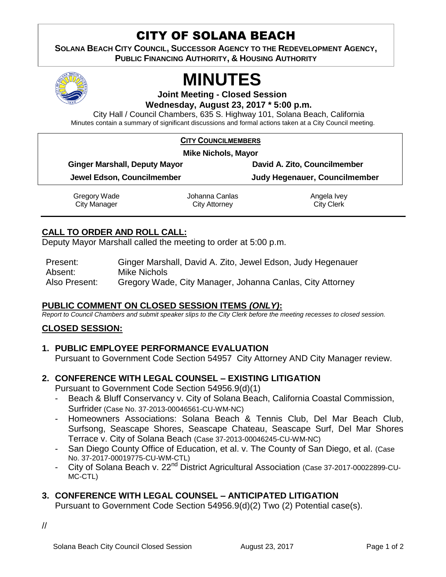## CITY OF SOLANA BEACH

**SOLANA BEACH CITY COUNCIL, SUCCESSOR AGENCY TO THE REDEVELOPMENT AGENCY, PUBLIC FINANCING AUTHORITY, & HOUSING AUTHORITY** 



# **MINUTES**

**Joint Meeting - Closed Session Wednesday, August 23, 2017 \* 5:00 p.m.**

City Hall / Council Chambers, 635 S. Highway 101, Solana Beach, California Minutes contain a summary of significant discussions and formal actions taken at a City Council meeting.

|  |  |  |  |  |  |  | <b>CITY COUNCILMEMBERS</b> |  |
|--|--|--|--|--|--|--|----------------------------|--|
|--|--|--|--|--|--|--|----------------------------|--|

| <b>Mike Nichols, Mayor</b>           |                                        |                                  |  |  |  |  |  |  |
|--------------------------------------|----------------------------------------|----------------------------------|--|--|--|--|--|--|
| <b>Ginger Marshall, Deputy Mayor</b> |                                        | David A. Zito, Councilmember     |  |  |  |  |  |  |
| Jewel Edson, Councilmember           |                                        | Judy Hegenauer, Councilmember    |  |  |  |  |  |  |
| Gregory Wade<br>City Manager         | Johanna Canlas<br><b>City Attorney</b> | Angela Ivey<br><b>City Clerk</b> |  |  |  |  |  |  |

#### **CALL TO ORDER AND ROLL CALL:**

Deputy Mayor Marshall called the meeting to order at 5:00 p.m.

| Present:      | Ginger Marshall, David A. Zito, Jewel Edson, Judy Hegenauer |
|---------------|-------------------------------------------------------------|
| Absent:       | Mike Nichols                                                |
| Also Present: | Gregory Wade, City Manager, Johanna Canlas, City Attorney   |

#### **PUBLIC COMMENT ON CLOSED SESSION ITEMS** *(ONLY)***:**

*Report to Council Chambers and submit speaker slips to the City Clerk before the meeting recesses to closed session.*

### **CLOSED SESSION:**

- **1. PUBLIC EMPLOYEE PERFORMANCE EVALUATION** Pursuant to Government Code Section 54957 City Attorney AND City Manager review.
- **2. CONFERENCE WITH LEGAL COUNSEL – EXISTING LITIGATION**

Pursuant to Government Code Section 54956.9(d)(1)

- Beach & Bluff Conservancy v. City of Solana Beach, California Coastal Commission, Surfrider (Case No. 37-2013-00046561-CU-WM-NC)
- Homeowners Associations: Solana Beach & Tennis Club, Del Mar Beach Club, Surfsong, Seascape Shores, Seascape Chateau, Seascape Surf, Del Mar Shores Terrace v. City of Solana Beach (Case 37-2013-00046245-CU-WM-NC)
- San Diego County Office of Education, et al. v. The County of San Diego, et al. (Case No. 37-2017-00019775-CU-WM-CTL)
- City of Solana Beach v. 22<sup>nd</sup> District Agricultural Association (Case 37-2017-00022899-CU-MC-CTL)

### **3. CONFERENCE WITH LEGAL COUNSEL – ANTICIPATED LITIGATION**

Pursuant to Government Code Section 54956.9(d)(2) Two (2) Potential case(s).